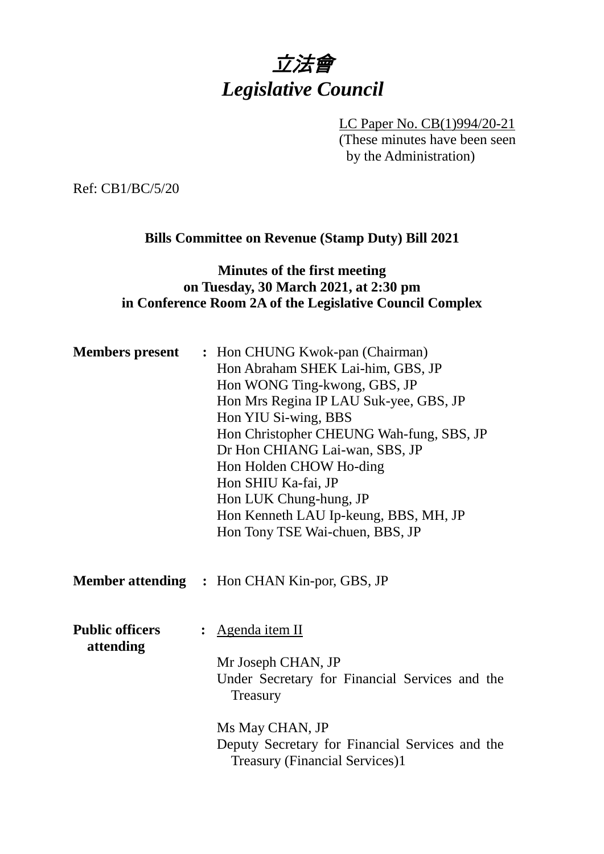# 立法會 *Legislative Council*

LC Paper No. CB(1)994/20-21 (These minutes have been seen by the Administration)

Ref: CB1/BC/5/20

#### **Bills Committee on Revenue (Stamp Duty) Bill 2021**

### **Minutes of the first meeting on Tuesday, 30 March 2021, at 2:30 pm in Conference Room 2A of the Legislative Council Complex**

| <b>Members present</b>              | : Hon CHUNG Kwok-pan (Chairman)<br>Hon Abraham SHEK Lai-him, GBS, JP<br>Hon WONG Ting-kwong, GBS, JP<br>Hon Mrs Regina IP LAU Suk-yee, GBS, JP<br>Hon YIU Si-wing, BBS<br>Hon Christopher CHEUNG Wah-fung, SBS, JP<br>Dr Hon CHIANG Lai-wan, SBS, JP<br>Hon Holden CHOW Ho-ding<br>Hon SHIU Ka-fai, JP<br>Hon LUK Chung-hung, JP<br>Hon Kenneth LAU Ip-keung, BBS, MH, JP<br>Hon Tony TSE Wai-chuen, BBS, JP |  |
|-------------------------------------|--------------------------------------------------------------------------------------------------------------------------------------------------------------------------------------------------------------------------------------------------------------------------------------------------------------------------------------------------------------------------------------------------------------|--|
|                                     | <b>Member attending : Hon CHAN Kin-por, GBS, JP</b>                                                                                                                                                                                                                                                                                                                                                          |  |
| <b>Public officers</b><br>attending | <u>Agenda item II</u><br>Mr Joseph CHAN, JP<br>Under Secretary for Financial Services and the<br>Treasury<br>Ms May CHAN, JP<br>Deputy Secretary for Financial Services and the<br><b>Treasury (Financial Services)1</b>                                                                                                                                                                                     |  |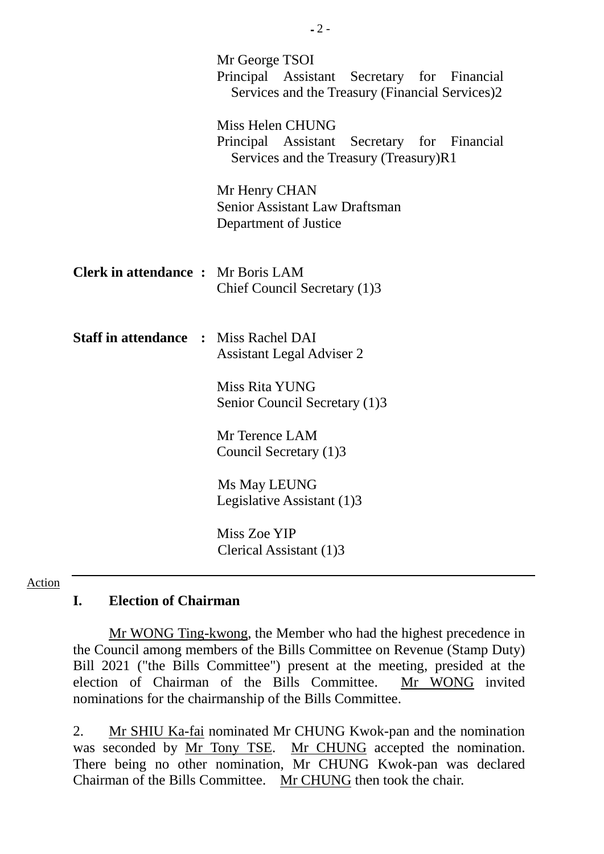|                                              | Mr George TSOI<br>Principal Assistant Secretary for Financial<br>Services and the Treasury (Financial Services)2 |
|----------------------------------------------|------------------------------------------------------------------------------------------------------------------|
|                                              | Miss Helen CHUNG<br>Principal Assistant Secretary for Financial<br>Services and the Treasury (Treasury)R1        |
|                                              | Mr Henry CHAN<br>Senior Assistant Law Draftsman<br>Department of Justice                                         |
| <b>Clerk in attendance:</b> Mr Boris LAM     | Chief Council Secretary (1)3                                                                                     |
| <b>Staff in attendance : Miss Rachel DAI</b> | <b>Assistant Legal Adviser 2</b>                                                                                 |
|                                              | Miss Rita YUNG<br>Senior Council Secretary (1)3                                                                  |
|                                              | Mr Terence LAM<br>Council Secretary (1)3                                                                         |
|                                              | Ms May LEUNG<br>Legislative Assistant (1)3                                                                       |
|                                              | Miss Zoe YIP<br>Clerical Assistant (1)3                                                                          |

#### Action

#### **I. Election of Chairman**

Mr WONG Ting-kwong, the Member who had the highest precedence in the Council among members of the Bills Committee on Revenue (Stamp Duty) Bill 2021 ("the Bills Committee") present at the meeting, presided at the election of Chairman of the Bills Committee. Mr WONG invited election of Chairman of the Bills Committee. nominations for the chairmanship of the Bills Committee.

2. Mr SHIU Ka-fai nominated Mr CHUNG Kwok-pan and the nomination was seconded by Mr Tony TSE. Mr CHUNG accepted the nomination. There being no other nomination, Mr CHUNG Kwok-pan was declared Chairman of the Bills Committee. Mr CHUNG then took the chair.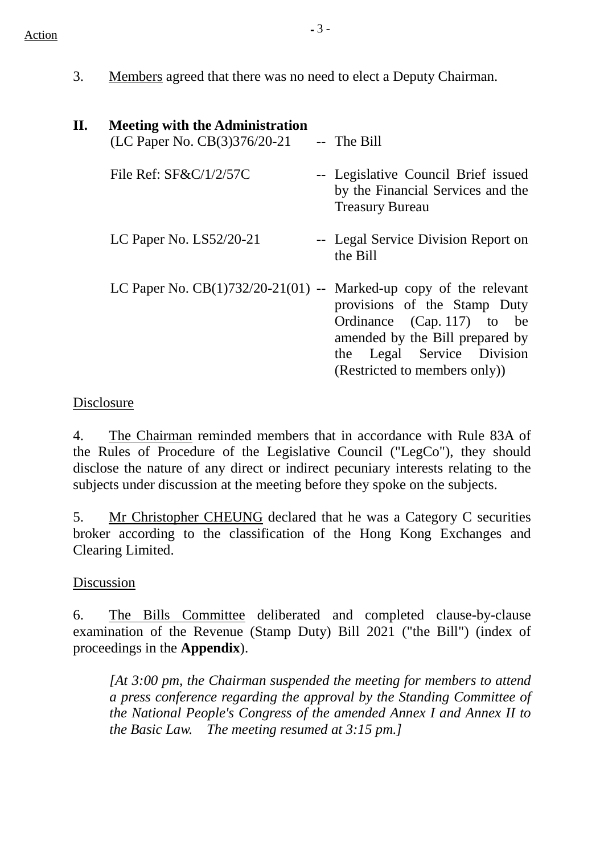- $Action$ 
	- 3. Members agreed that there was no need to elect a Deputy Chairman.

| П. | <b>Meeting with the Administration</b><br>(LC Paper No. CB(3)376/20-21 | -- The Bill                                                                                                                                                  |
|----|------------------------------------------------------------------------|--------------------------------------------------------------------------------------------------------------------------------------------------------------|
|    | File Ref: $SFRC/1/2/57C$                                               | -- Legislative Council Brief issued<br>by the Financial Services and the<br><b>Treasury Bureau</b>                                                           |
|    | LC Paper No. $LS52/20-21$                                              | -- Legal Service Division Report on<br>the Bill                                                                                                              |
|    | LC Paper No. $CB(1)732/20-21(01)$ -- Marked-up copy of the relevant    | provisions of the Stamp Duty<br>Ordinance (Cap. 117) to be<br>amended by the Bill prepared by<br>the Legal Service Division<br>(Restricted to members only)) |

## Disclosure

4. The Chairman reminded members that in accordance with Rule 83A of the Rules of Procedure of the Legislative Council ("LegCo"), they should disclose the nature of any direct or indirect pecuniary interests relating to the subjects under discussion at the meeting before they spoke on the subjects.

5. Mr Christopher CHEUNG declared that he was a Category C securities broker according to the classification of the Hong Kong Exchanges and Clearing Limited.

# Discussion

6. The Bills Committee deliberated and completed clause-by-clause examination of the Revenue (Stamp Duty) Bill 2021 ("the Bill") (index of proceedings in the **Appendix**).

*[At 3:00 pm, the Chairman suspended the meeting for members to attend a press conference regarding the approval by the Standing Committee of the National People's Congress of the amended Annex I and Annex II to the Basic Law. The meeting resumed at 3:15 pm.]*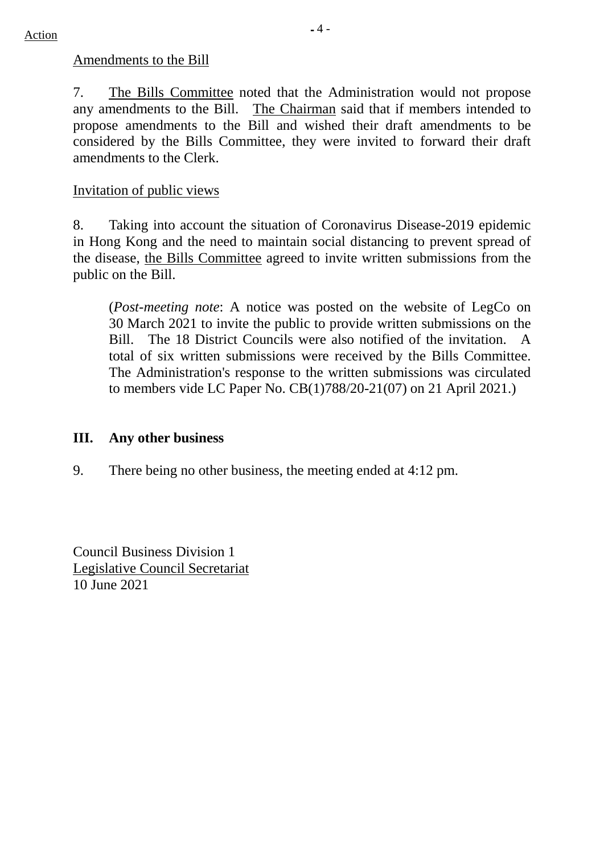#### Amendments to the Bill

7. The Bills Committee noted that the Administration would not propose any amendments to the Bill. The Chairman said that if members intended to propose amendments to the Bill and wished their draft amendments to be considered by the Bills Committee, they were invited to forward their draft amendments to the Clerk.

### Invitation of public views

8. Taking into account the situation of Coronavirus Disease-2019 epidemic in Hong Kong and the need to maintain social distancing to prevent spread of the disease, the Bills Committee agreed to invite written submissions from the public on the Bill.

(*Post-meeting note*: A notice was posted on the website of LegCo on 30 March 2021 to invite the public to provide written submissions on the Bill. The 18 District Councils were also notified of the invitation. A total of six written submissions were received by the Bills Committee. The Administration's response to the written submissions was circulated to members vide LC Paper No. CB(1)788/20-21(07) on 21 April 2021.)

#### **III. Any other business**

9. There being no other business, the meeting ended at 4:12 pm.

Council Business Division 1 Legislative Council Secretariat 10 June 2021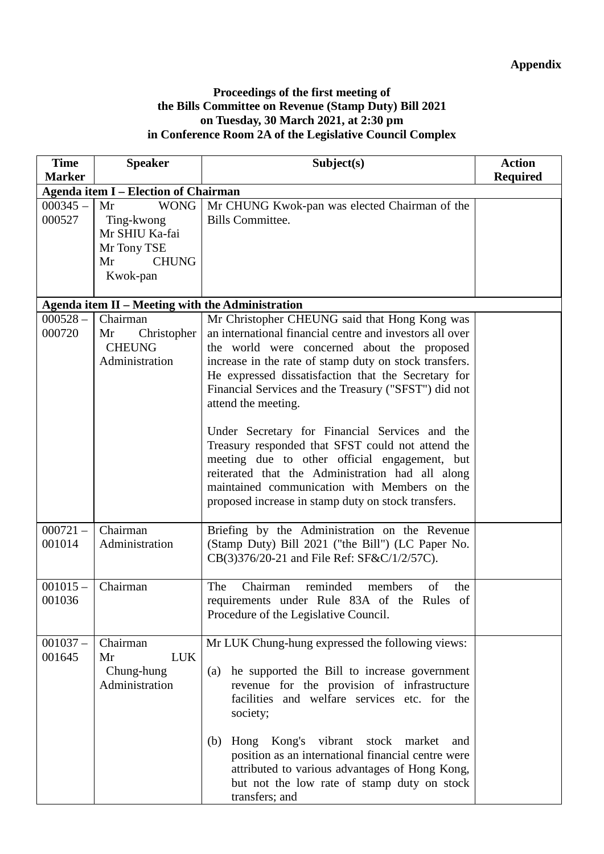#### **Proceedings of the first meeting of the Bills Committee on Revenue (Stamp Duty) Bill 2021 on Tuesday, 30 March 2021, at 2:30 pm in Conference Room 2A of the Legislative Council Complex**

| <b>Time</b>          | <b>Speaker</b>                                                                                     | Subject(s)                                                                                                                                                                                                                                                                                                                                                                                                                                                                                                                                                           | <b>Action</b>   |  |  |
|----------------------|----------------------------------------------------------------------------------------------------|----------------------------------------------------------------------------------------------------------------------------------------------------------------------------------------------------------------------------------------------------------------------------------------------------------------------------------------------------------------------------------------------------------------------------------------------------------------------------------------------------------------------------------------------------------------------|-----------------|--|--|
| <b>Marker</b>        |                                                                                                    |                                                                                                                                                                                                                                                                                                                                                                                                                                                                                                                                                                      | <b>Required</b> |  |  |
|                      | <b>Agenda item I - Election of Chairman</b>                                                        |                                                                                                                                                                                                                                                                                                                                                                                                                                                                                                                                                                      |                 |  |  |
| $000345 -$<br>000527 | <b>WONG</b><br>Mr<br>Ting-kwong<br>Mr SHIU Ka-fai<br>Mr Tony TSE<br>Mr<br><b>CHUNG</b><br>Kwok-pan | Mr CHUNG Kwok-pan was elected Chairman of the<br><b>Bills Committee.</b>                                                                                                                                                                                                                                                                                                                                                                                                                                                                                             |                 |  |  |
|                      |                                                                                                    |                                                                                                                                                                                                                                                                                                                                                                                                                                                                                                                                                                      |                 |  |  |
|                      | Agenda item II - Meeting with the Administration                                                   |                                                                                                                                                                                                                                                                                                                                                                                                                                                                                                                                                                      |                 |  |  |
| $000528 -$<br>000720 | Chairman<br>Christopher<br>Mr<br><b>CHEUNG</b><br>Administration                                   | Mr Christopher CHEUNG said that Hong Kong was<br>an international financial centre and investors all over<br>the world were concerned about the proposed<br>increase in the rate of stamp duty on stock transfers.<br>He expressed dissatisfaction that the Secretary for<br>Financial Services and the Treasury ("SFST") did not<br>attend the meeting.<br>Under Secretary for Financial Services and the<br>Treasury responded that SFST could not attend the<br>meeting due to other official engagement, but<br>reiterated that the Administration had all along |                 |  |  |
| $000721 -$<br>001014 | Chairman<br>Administration                                                                         | maintained communication with Members on the<br>proposed increase in stamp duty on stock transfers.<br>Briefing by the Administration on the Revenue<br>(Stamp Duty) Bill 2021 ("the Bill") (LC Paper No.<br>CB(3)376/20-21 and File Ref: SF&C/1/2/57C).                                                                                                                                                                                                                                                                                                             |                 |  |  |
|                      |                                                                                                    |                                                                                                                                                                                                                                                                                                                                                                                                                                                                                                                                                                      |                 |  |  |
| $001015 -$<br>001036 | Chairman                                                                                           | $\overline{\text{Chairman}}$<br>reminded<br>members<br>The<br>of<br>the<br>requirements under Rule 83A of the Rules of<br>Procedure of the Legislative Council.                                                                                                                                                                                                                                                                                                                                                                                                      |                 |  |  |
| $001037 -$<br>001645 | Chairman<br><b>LUK</b><br>Mr<br>Chung-hung<br>Administration                                       | Mr LUK Chung-hung expressed the following views:<br>he supported the Bill to increase government<br>(a)<br>revenue for the provision of infrastructure<br>facilities and welfare services etc. for the<br>society;<br>Hong Kong's<br>vibrant<br>stock market<br>(b)<br>and                                                                                                                                                                                                                                                                                           |                 |  |  |
|                      |                                                                                                    | position as an international financial centre were<br>attributed to various advantages of Hong Kong,<br>but not the low rate of stamp duty on stock<br>transfers; and                                                                                                                                                                                                                                                                                                                                                                                                |                 |  |  |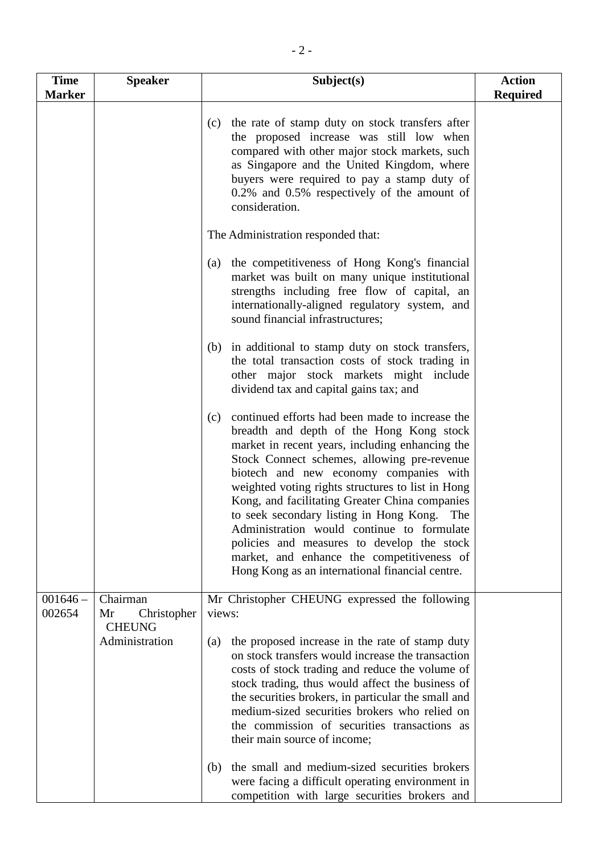| <b>Time</b>          | <b>Speaker</b>                                 | Subject(s)                                                                                                                                                                                                                                                                                                                                                                                                                                                                                                                                                                                                                                                                                                                                                                                                                                                                                                                                                                                                                                                                                                                                                                                                                                                                                                                                                 | <b>Action</b>   |
|----------------------|------------------------------------------------|------------------------------------------------------------------------------------------------------------------------------------------------------------------------------------------------------------------------------------------------------------------------------------------------------------------------------------------------------------------------------------------------------------------------------------------------------------------------------------------------------------------------------------------------------------------------------------------------------------------------------------------------------------------------------------------------------------------------------------------------------------------------------------------------------------------------------------------------------------------------------------------------------------------------------------------------------------------------------------------------------------------------------------------------------------------------------------------------------------------------------------------------------------------------------------------------------------------------------------------------------------------------------------------------------------------------------------------------------------|-----------------|
| <b>Marker</b>        |                                                | the rate of stamp duty on stock transfers after<br>(c)<br>the proposed increase was still low when<br>compared with other major stock markets, such<br>as Singapore and the United Kingdom, where<br>buyers were required to pay a stamp duty of<br>0.2% and 0.5% respectively of the amount of<br>consideration.<br>The Administration responded that:<br>the competitiveness of Hong Kong's financial<br>(a)<br>market was built on many unique institutional<br>strengths including free flow of capital, an<br>internationally-aligned regulatory system, and<br>sound financial infrastructures;<br>(b) in additional to stamp duty on stock transfers,<br>the total transaction costs of stock trading in<br>other major stock markets might include<br>dividend tax and capital gains tax; and<br>continued efforts had been made to increase the<br>(c)<br>breadth and depth of the Hong Kong stock<br>market in recent years, including enhancing the<br>Stock Connect schemes, allowing pre-revenue<br>biotech and new economy companies with<br>weighted voting rights structures to list in Hong<br>Kong, and facilitating Greater China companies<br>to seek secondary listing in Hong Kong.<br>The<br>Administration would continue to formulate<br>policies and measures to develop the stock<br>market, and enhance the competitiveness of | <b>Required</b> |
|                      |                                                | Hong Kong as an international financial centre.                                                                                                                                                                                                                                                                                                                                                                                                                                                                                                                                                                                                                                                                                                                                                                                                                                                                                                                                                                                                                                                                                                                                                                                                                                                                                                            |                 |
| $001646 -$<br>002654 | Chairman<br>Mr<br>Christopher<br><b>CHEUNG</b> | Mr Christopher CHEUNG expressed the following<br>views:                                                                                                                                                                                                                                                                                                                                                                                                                                                                                                                                                                                                                                                                                                                                                                                                                                                                                                                                                                                                                                                                                                                                                                                                                                                                                                    |                 |
|                      | Administration                                 | the proposed increase in the rate of stamp duty<br>(a)<br>on stock transfers would increase the transaction<br>costs of stock trading and reduce the volume of<br>stock trading, thus would affect the business of<br>the securities brokers, in particular the small and<br>medium-sized securities brokers who relied on<br>the commission of securities transactions as<br>their main source of income;<br>the small and medium-sized securities brokers<br>(b)                                                                                                                                                                                                                                                                                                                                                                                                                                                                                                                                                                                                                                                                                                                                                                                                                                                                                         |                 |
|                      |                                                | were facing a difficult operating environment in<br>competition with large securities brokers and                                                                                                                                                                                                                                                                                                                                                                                                                                                                                                                                                                                                                                                                                                                                                                                                                                                                                                                                                                                                                                                                                                                                                                                                                                                          |                 |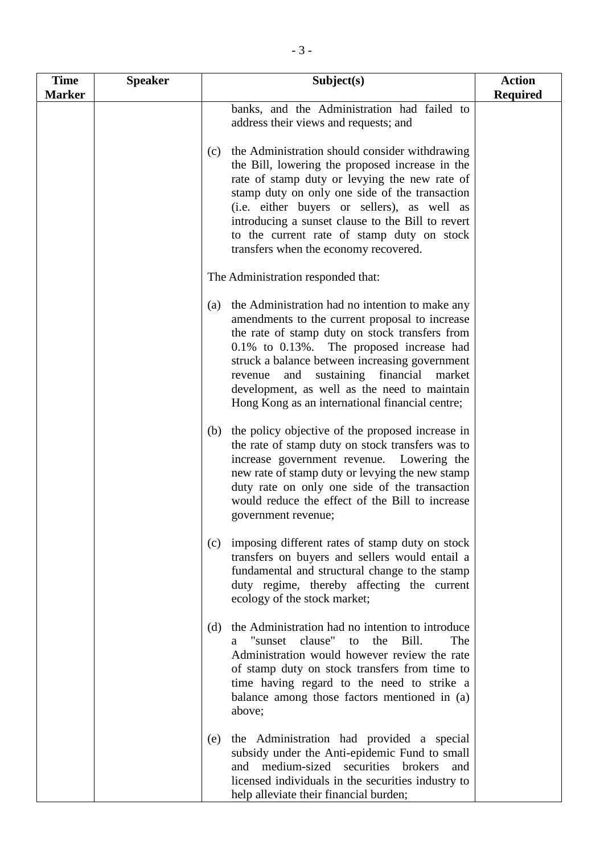| <b>Time</b>   | <b>Speaker</b> | Subject(s)                                                                                                                                                                                                                                                                                                                                                                                                         | <b>Action</b>   |
|---------------|----------------|--------------------------------------------------------------------------------------------------------------------------------------------------------------------------------------------------------------------------------------------------------------------------------------------------------------------------------------------------------------------------------------------------------------------|-----------------|
| <b>Marker</b> |                |                                                                                                                                                                                                                                                                                                                                                                                                                    | <b>Required</b> |
|               |                | banks, and the Administration had failed to<br>address their views and requests; and                                                                                                                                                                                                                                                                                                                               |                 |
|               |                | the Administration should consider withdrawing<br>(c)<br>the Bill, lowering the proposed increase in the<br>rate of stamp duty or levying the new rate of<br>stamp duty on only one side of the transaction<br>(i.e. either buyers or sellers), as well as<br>introducing a sunset clause to the Bill to revert<br>to the current rate of stamp duty on stock<br>transfers when the economy recovered.             |                 |
|               |                | The Administration responded that:                                                                                                                                                                                                                                                                                                                                                                                 |                 |
|               |                | the Administration had no intention to make any<br>(a)<br>amendments to the current proposal to increase<br>the rate of stamp duty on stock transfers from<br>0.1% to 0.13%. The proposed increase had<br>struck a balance between increasing government<br>financial<br>sustaining<br>and<br>revenue<br>market<br>development, as well as the need to maintain<br>Hong Kong as an international financial centre; |                 |
|               |                | the policy objective of the proposed increase in<br>(b)<br>the rate of stamp duty on stock transfers was to<br>increase government revenue. Lowering the<br>new rate of stamp duty or levying the new stamp<br>duty rate on only one side of the transaction<br>would reduce the effect of the Bill to increase<br>government revenue;                                                                             |                 |
|               |                | imposing different rates of stamp duty on stock<br>(c)<br>transfers on buyers and sellers would entail a<br>fundamental and structural change to the stamp<br>duty regime, thereby affecting the current<br>ecology of the stock market;                                                                                                                                                                           |                 |
|               |                | the Administration had no intention to introduce<br>(d)<br>a "sunset clause" to the Bill.<br>The<br>Administration would however review the rate<br>of stamp duty on stock transfers from time to<br>time having regard to the need to strike a<br>balance among those factors mentioned in (a)<br>above;                                                                                                          |                 |
|               |                | the Administration had provided a special<br>(e)<br>subsidy under the Anti-epidemic Fund to small<br>and medium-sized securities brokers<br>and<br>licensed individuals in the securities industry to<br>help alleviate their financial burden;                                                                                                                                                                    |                 |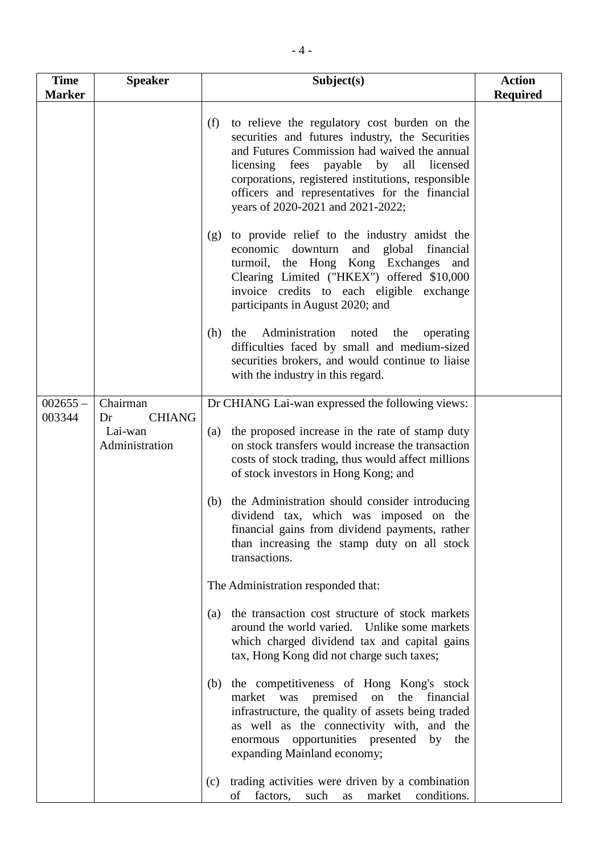| <b>Time</b>   | <b>Speaker</b>            | Subject(s)                                                                                                                                                                                                                                                                                                                                       | <b>Action</b>   |
|---------------|---------------------------|--------------------------------------------------------------------------------------------------------------------------------------------------------------------------------------------------------------------------------------------------------------------------------------------------------------------------------------------------|-----------------|
| <b>Marker</b> |                           |                                                                                                                                                                                                                                                                                                                                                  | <b>Required</b> |
|               |                           | to relieve the regulatory cost burden on the<br>(f)<br>securities and futures industry, the Securities<br>and Futures Commission had waived the annual<br>licensing fees payable by<br>all licensed<br>corporations, registered institutions, responsible<br>officers and representatives for the financial<br>years of 2020-2021 and 2021-2022; |                 |
|               |                           | to provide relief to the industry amidst the<br>(g)<br>economic downturn and global financial<br>turmoil, the Hong Kong Exchanges and<br>Clearing Limited ("HKEX") offered \$10,000<br>invoice credits to each eligible exchange<br>participants in August 2020; and                                                                             |                 |
|               |                           | Administration noted the<br>(h)<br>the<br>operating<br>difficulties faced by small and medium-sized<br>securities brokers, and would continue to liaise<br>with the industry in this regard.                                                                                                                                                     |                 |
| $002655 -$    | Chairman                  | Dr CHIANG Lai-wan expressed the following views:                                                                                                                                                                                                                                                                                                 |                 |
| 003344        | <b>CHIANG</b><br>Dr       |                                                                                                                                                                                                                                                                                                                                                  |                 |
|               | Lai-wan<br>Administration | the proposed increase in the rate of stamp duty<br>(a)<br>on stock transfers would increase the transaction<br>costs of stock trading, thus would affect millions<br>of stock investors in Hong Kong; and                                                                                                                                        |                 |
|               |                           | the Administration should consider introducing<br>(b)<br>dividend tax, which was imposed on the<br>financial gains from dividend payments, rather<br>than increasing the stamp duty on all stock<br>transactions.                                                                                                                                |                 |
|               |                           | The Administration responded that:                                                                                                                                                                                                                                                                                                               |                 |
|               |                           | the transaction cost structure of stock markets<br>(a)<br>around the world varied. Unlike some markets<br>which charged dividend tax and capital gains<br>tax, Hong Kong did not charge such taxes;                                                                                                                                              |                 |
|               |                           | the competitiveness of Hong Kong's stock<br>(b)<br>market<br>was premised on<br>the financial<br>infrastructure, the quality of assets being traded<br>as well as the connectivity with, and the<br>enormous opportunities presented<br>by<br>the<br>expanding Mainland economy;                                                                 |                 |
|               |                           | trading activities were driven by a combination<br>(c)<br>factors,<br>such<br>conditions.<br>οf<br>market<br>as                                                                                                                                                                                                                                  |                 |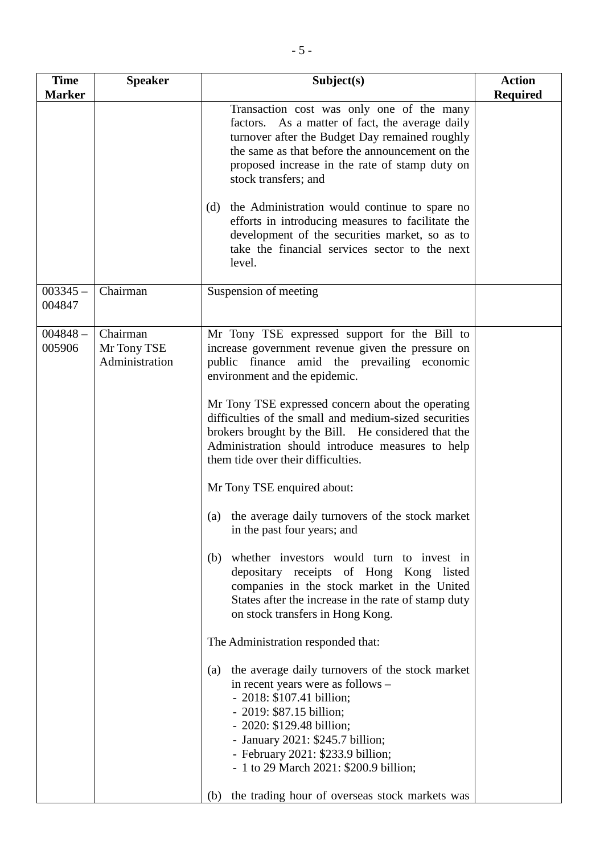| <b>Required</b><br>Transaction cost was only one of the many<br>factors. As a matter of fact, the average daily<br>turnover after the Budget Day remained roughly<br>the same as that before the announcement on the<br>proposed increase in the rate of stamp duty on<br>the Administration would continue to spare no<br>efforts in introducing measures to facilitate the<br>development of the securities market, so as to<br>take the financial services sector to the next<br>Mr Tony TSE expressed support for the Bill to<br>increase government revenue given the pressure on |
|----------------------------------------------------------------------------------------------------------------------------------------------------------------------------------------------------------------------------------------------------------------------------------------------------------------------------------------------------------------------------------------------------------------------------------------------------------------------------------------------------------------------------------------------------------------------------------------|
|                                                                                                                                                                                                                                                                                                                                                                                                                                                                                                                                                                                        |
|                                                                                                                                                                                                                                                                                                                                                                                                                                                                                                                                                                                        |
|                                                                                                                                                                                                                                                                                                                                                                                                                                                                                                                                                                                        |
|                                                                                                                                                                                                                                                                                                                                                                                                                                                                                                                                                                                        |
|                                                                                                                                                                                                                                                                                                                                                                                                                                                                                                                                                                                        |
| Mr Tony TSE expressed concern about the operating<br>brokers brought by the Bill. He considered that the<br>Administration should introduce measures to help                                                                                                                                                                                                                                                                                                                                                                                                                           |
|                                                                                                                                                                                                                                                                                                                                                                                                                                                                                                                                                                                        |
| (a) the average daily turnovers of the stock market                                                                                                                                                                                                                                                                                                                                                                                                                                                                                                                                    |
| whether investors would turn to invest in<br>depositary receipts of Hong Kong listed<br>companies in the stock market in the United                                                                                                                                                                                                                                                                                                                                                                                                                                                    |
|                                                                                                                                                                                                                                                                                                                                                                                                                                                                                                                                                                                        |
| the average daily turnovers of the stock market                                                                                                                                                                                                                                                                                                                                                                                                                                                                                                                                        |
| public finance amid the prevailing economic<br>difficulties of the small and medium-sized securities<br>States after the increase in the rate of stamp duty<br>the trading hour of overseas stock markets was                                                                                                                                                                                                                                                                                                                                                                          |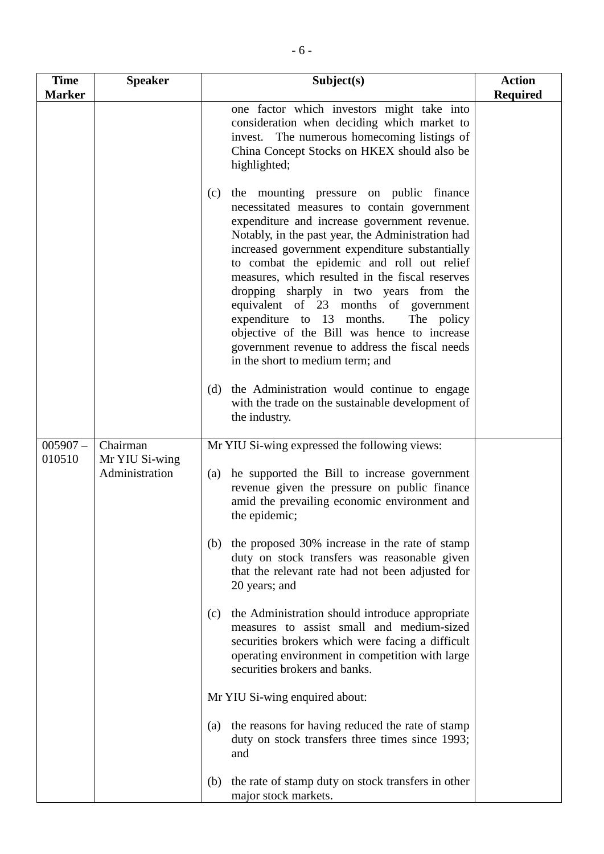| <b>Time</b>   | <b>Speaker</b>                   | Subject(s)                                                                                                                                                                                                                                                                                                                                                                                                                                                                                                                                                                                                               | <b>Action</b>   |
|---------------|----------------------------------|--------------------------------------------------------------------------------------------------------------------------------------------------------------------------------------------------------------------------------------------------------------------------------------------------------------------------------------------------------------------------------------------------------------------------------------------------------------------------------------------------------------------------------------------------------------------------------------------------------------------------|-----------------|
| <b>Marker</b> |                                  |                                                                                                                                                                                                                                                                                                                                                                                                                                                                                                                                                                                                                          | <b>Required</b> |
|               |                                  | one factor which investors might take into<br>consideration when deciding which market to<br>invest. The numerous homecoming listings of<br>China Concept Stocks on HKEX should also be<br>highlighted;                                                                                                                                                                                                                                                                                                                                                                                                                  |                 |
|               |                                  | the mounting pressure on public finance<br>(c)<br>necessitated measures to contain government<br>expenditure and increase government revenue.<br>Notably, in the past year, the Administration had<br>increased government expenditure substantially<br>to combat the epidemic and roll out relief<br>measures, which resulted in the fiscal reserves<br>dropping sharply in two years from the<br>equivalent of 23 months of government<br>expenditure to 13 months.<br>The policy<br>objective of the Bill was hence to increase<br>government revenue to address the fiscal needs<br>in the short to medium term; and |                 |
|               |                                  | the Administration would continue to engage<br>(d)<br>with the trade on the sustainable development of<br>the industry.                                                                                                                                                                                                                                                                                                                                                                                                                                                                                                  |                 |
| $005907 -$    | Chairman                         | Mr YIU Si-wing expressed the following views:                                                                                                                                                                                                                                                                                                                                                                                                                                                                                                                                                                            |                 |
| 010510        | Mr YIU Si-wing<br>Administration | he supported the Bill to increase government<br>(a)<br>revenue given the pressure on public finance<br>amid the prevailing economic environment and<br>the epidemic;                                                                                                                                                                                                                                                                                                                                                                                                                                                     |                 |
|               |                                  | (b) the proposed 30% increase in the rate of stamp<br>duty on stock transfers was reasonable given<br>that the relevant rate had not been adjusted for<br>20 years; and                                                                                                                                                                                                                                                                                                                                                                                                                                                  |                 |
|               |                                  | the Administration should introduce appropriate<br>(c)<br>measures to assist small and medium-sized<br>securities brokers which were facing a difficult<br>operating environment in competition with large<br>securities brokers and banks.                                                                                                                                                                                                                                                                                                                                                                              |                 |
|               |                                  | Mr YIU Si-wing enquired about:                                                                                                                                                                                                                                                                                                                                                                                                                                                                                                                                                                                           |                 |
|               |                                  | the reasons for having reduced the rate of stamp<br>(a)<br>duty on stock transfers three times since 1993;<br>and                                                                                                                                                                                                                                                                                                                                                                                                                                                                                                        |                 |
|               |                                  | the rate of stamp duty on stock transfers in other<br>(b)<br>major stock markets.                                                                                                                                                                                                                                                                                                                                                                                                                                                                                                                                        |                 |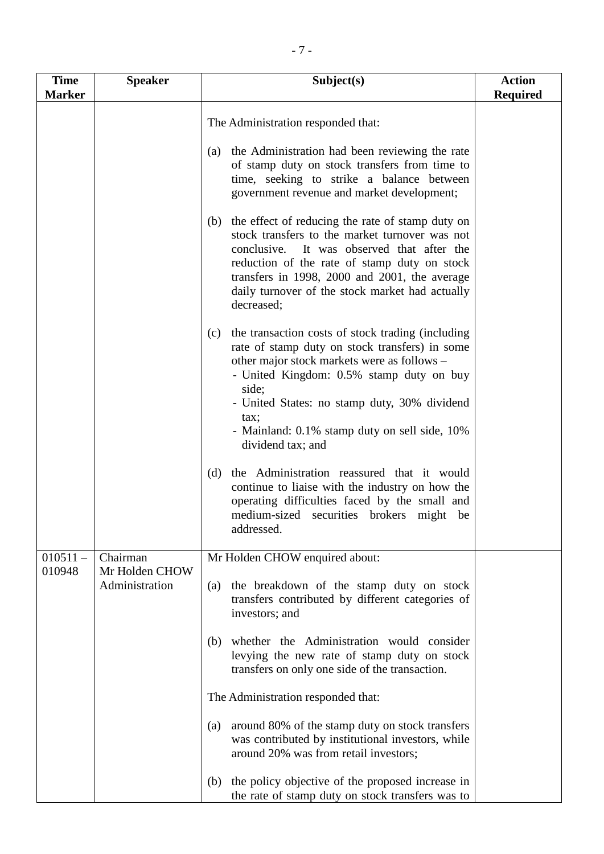| <b>Time</b><br><b>Marker</b> | <b>Speaker</b>                   | Subject(s)                                                                                                                                                                                                                                                                                                                   | <b>Action</b><br><b>Required</b> |
|------------------------------|----------------------------------|------------------------------------------------------------------------------------------------------------------------------------------------------------------------------------------------------------------------------------------------------------------------------------------------------------------------------|----------------------------------|
|                              |                                  | The Administration responded that:                                                                                                                                                                                                                                                                                           |                                  |
|                              |                                  | the Administration had been reviewing the rate<br>(a)<br>of stamp duty on stock transfers from time to<br>time, seeking to strike a balance between<br>government revenue and market development;                                                                                                                            |                                  |
|                              |                                  | the effect of reducing the rate of stamp duty on<br>(b)<br>stock transfers to the market turnover was not<br>conclusive.<br>It was observed that after the<br>reduction of the rate of stamp duty on stock<br>transfers in 1998, 2000 and 2001, the average<br>daily turnover of the stock market had actually<br>decreased; |                                  |
|                              |                                  | the transaction costs of stock trading (including<br>(c)<br>rate of stamp duty on stock transfers) in some<br>other major stock markets were as follows -<br>- United Kingdom: 0.5% stamp duty on buy<br>side;<br>- United States: no stamp duty, 30% dividend<br>tax;                                                       |                                  |
|                              |                                  | - Mainland: 0.1% stamp duty on sell side, 10%<br>dividend tax; and<br>the Administration reassured that it would<br>(d)<br>continue to liaise with the industry on how the<br>operating difficulties faced by the small and<br>medium-sized securities brokers might be<br>addressed.                                        |                                  |
| $010511 -$                   | Chairman                         | Mr Holden CHOW enquired about:                                                                                                                                                                                                                                                                                               |                                  |
| 010948                       | Mr Holden CHOW<br>Administration | the breakdown of the stamp duty on stock<br>(a)<br>transfers contributed by different categories of<br>investors; and                                                                                                                                                                                                        |                                  |
|                              |                                  | whether the Administration would consider<br>(b)<br>levying the new rate of stamp duty on stock<br>transfers on only one side of the transaction.                                                                                                                                                                            |                                  |
|                              |                                  | The Administration responded that:                                                                                                                                                                                                                                                                                           |                                  |
|                              |                                  | around 80% of the stamp duty on stock transfers<br>(a)<br>was contributed by institutional investors, while<br>around 20% was from retail investors;                                                                                                                                                                         |                                  |
|                              |                                  | the policy objective of the proposed increase in<br>(b)<br>the rate of stamp duty on stock transfers was to                                                                                                                                                                                                                  |                                  |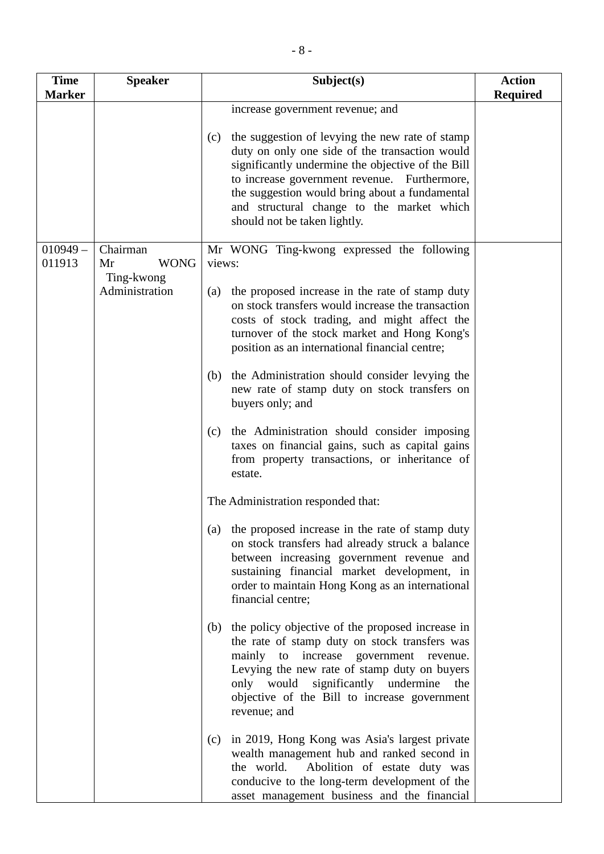| <b>Time</b>   | <b>Speaker</b>                                    | Subject(s)                                                                                                                                                                                                                                                                                                                                                                                                                                                                                                                                                                                                                                                                                                                                                                                                                                                                                                                                                                                                                                                                                                                                                                                                                                                                                                             | <b>Action</b>   |
|---------------|---------------------------------------------------|------------------------------------------------------------------------------------------------------------------------------------------------------------------------------------------------------------------------------------------------------------------------------------------------------------------------------------------------------------------------------------------------------------------------------------------------------------------------------------------------------------------------------------------------------------------------------------------------------------------------------------------------------------------------------------------------------------------------------------------------------------------------------------------------------------------------------------------------------------------------------------------------------------------------------------------------------------------------------------------------------------------------------------------------------------------------------------------------------------------------------------------------------------------------------------------------------------------------------------------------------------------------------------------------------------------------|-----------------|
| <b>Marker</b> |                                                   |                                                                                                                                                                                                                                                                                                                                                                                                                                                                                                                                                                                                                                                                                                                                                                                                                                                                                                                                                                                                                                                                                                                                                                                                                                                                                                                        | <b>Required</b> |
|               |                                                   | increase government revenue; and                                                                                                                                                                                                                                                                                                                                                                                                                                                                                                                                                                                                                                                                                                                                                                                                                                                                                                                                                                                                                                                                                                                                                                                                                                                                                       |                 |
|               |                                                   | the suggestion of levying the new rate of stamp<br>(c)<br>duty on only one side of the transaction would<br>significantly undermine the objective of the Bill<br>to increase government revenue. Furthermore,<br>the suggestion would bring about a fundamental<br>and structural change to the market which<br>should not be taken lightly.                                                                                                                                                                                                                                                                                                                                                                                                                                                                                                                                                                                                                                                                                                                                                                                                                                                                                                                                                                           |                 |
| $010949 -$    | Chairman                                          | Mr WONG Ting-kwong expressed the following                                                                                                                                                                                                                                                                                                                                                                                                                                                                                                                                                                                                                                                                                                                                                                                                                                                                                                                                                                                                                                                                                                                                                                                                                                                                             |                 |
| 011913        | <b>WONG</b><br>Mr<br>Ting-kwong<br>Administration | views:<br>the proposed increase in the rate of stamp duty<br>(a)<br>on stock transfers would increase the transaction<br>costs of stock trading, and might affect the<br>turnover of the stock market and Hong Kong's<br>position as an international financial centre;<br>(b) the Administration should consider levying the<br>new rate of stamp duty on stock transfers on<br>buyers only; and<br>the Administration should consider imposing<br>(c)<br>taxes on financial gains, such as capital gains<br>from property transactions, or inheritance of<br>estate.<br>The Administration responded that:<br>the proposed increase in the rate of stamp duty<br>(a)<br>on stock transfers had already struck a balance<br>between increasing government revenue and<br>sustaining financial market development, in<br>order to maintain Hong Kong as an international<br>financial centre;<br>the policy objective of the proposed increase in<br>(b)<br>the rate of stamp duty on stock transfers was<br>mainly to increase government revenue.<br>Levying the new rate of stamp duty on buyers<br>only would significantly undermine<br>the<br>objective of the Bill to increase government<br>revenue; and<br>in 2019, Hong Kong was Asia's largest private<br>(c)<br>wealth management hub and ranked second in |                 |
|               |                                                   | the world.<br>Abolition of estate duty was<br>conducive to the long-term development of the<br>asset management business and the financial                                                                                                                                                                                                                                                                                                                                                                                                                                                                                                                                                                                                                                                                                                                                                                                                                                                                                                                                                                                                                                                                                                                                                                             |                 |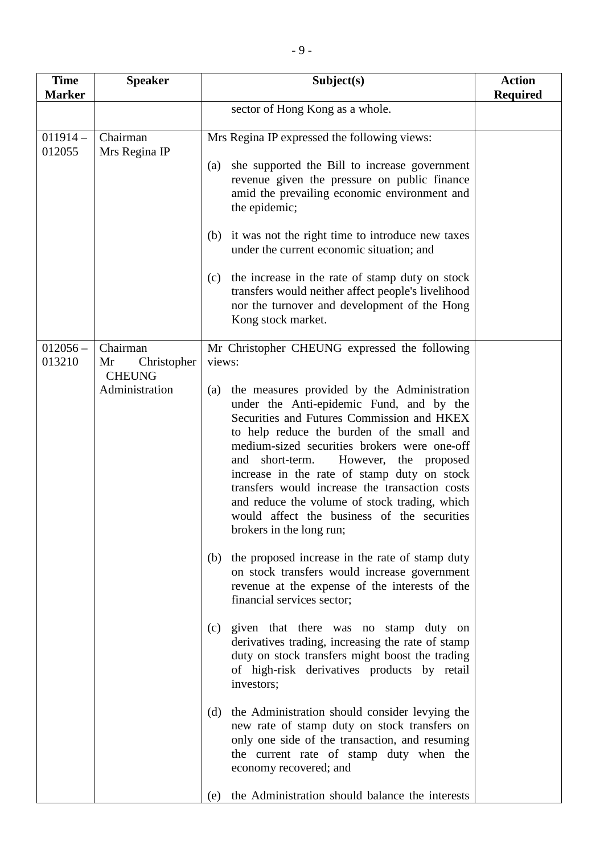| <b>Time</b><br><b>Marker</b> | <b>Speaker</b>                                                   | Subject(s)                                                                                                                                                                                                                                                                                                                                                                                                                                                                                                                                                                                                                                                                                                                                                                                                                                                                                                                                                                                                                                                                                                                                                                                                                                                                              | <b>Action</b><br><b>Required</b> |
|------------------------------|------------------------------------------------------------------|-----------------------------------------------------------------------------------------------------------------------------------------------------------------------------------------------------------------------------------------------------------------------------------------------------------------------------------------------------------------------------------------------------------------------------------------------------------------------------------------------------------------------------------------------------------------------------------------------------------------------------------------------------------------------------------------------------------------------------------------------------------------------------------------------------------------------------------------------------------------------------------------------------------------------------------------------------------------------------------------------------------------------------------------------------------------------------------------------------------------------------------------------------------------------------------------------------------------------------------------------------------------------------------------|----------------------------------|
|                              |                                                                  | sector of Hong Kong as a whole.                                                                                                                                                                                                                                                                                                                                                                                                                                                                                                                                                                                                                                                                                                                                                                                                                                                                                                                                                                                                                                                                                                                                                                                                                                                         |                                  |
| $011914-$<br>012055          | Chairman<br>Mrs Regina IP                                        | Mrs Regina IP expressed the following views:<br>she supported the Bill to increase government<br>(a)<br>revenue given the pressure on public finance<br>amid the prevailing economic environment and<br>the epidemic;<br>it was not the right time to introduce new taxes<br>(b)<br>under the current economic situation; and<br>the increase in the rate of stamp duty on stock<br>(c)<br>transfers would neither affect people's livelihood<br>nor the turnover and development of the Hong<br>Kong stock market.                                                                                                                                                                                                                                                                                                                                                                                                                                                                                                                                                                                                                                                                                                                                                                     |                                  |
| $012056 -$<br>013210         | Chairman<br>Christopher<br>Mr<br><b>CHEUNG</b><br>Administration | Mr Christopher CHEUNG expressed the following<br>views:<br>the measures provided by the Administration<br>(a)<br>under the Anti-epidemic Fund, and by the<br>Securities and Futures Commission and HKEX<br>to help reduce the burden of the small and<br>medium-sized securities brokers were one-off<br>and short-term.<br>However, the proposed<br>increase in the rate of stamp duty on stock<br>transfers would increase the transaction costs<br>and reduce the volume of stock trading, which<br>would affect the business of the securities<br>brokers in the long run;<br>the proposed increase in the rate of stamp duty<br>(b)<br>on stock transfers would increase government<br>revenue at the expense of the interests of the<br>financial services sector;<br>given that there was no stamp duty on<br>(c)<br>derivatives trading, increasing the rate of stamp<br>duty on stock transfers might boost the trading<br>of high-risk derivatives products by retail<br>investors;<br>the Administration should consider levying the<br>(d)<br>new rate of stamp duty on stock transfers on<br>only one side of the transaction, and resuming<br>the current rate of stamp duty when the<br>economy recovered; and<br>the Administration should balance the interests<br>(e) |                                  |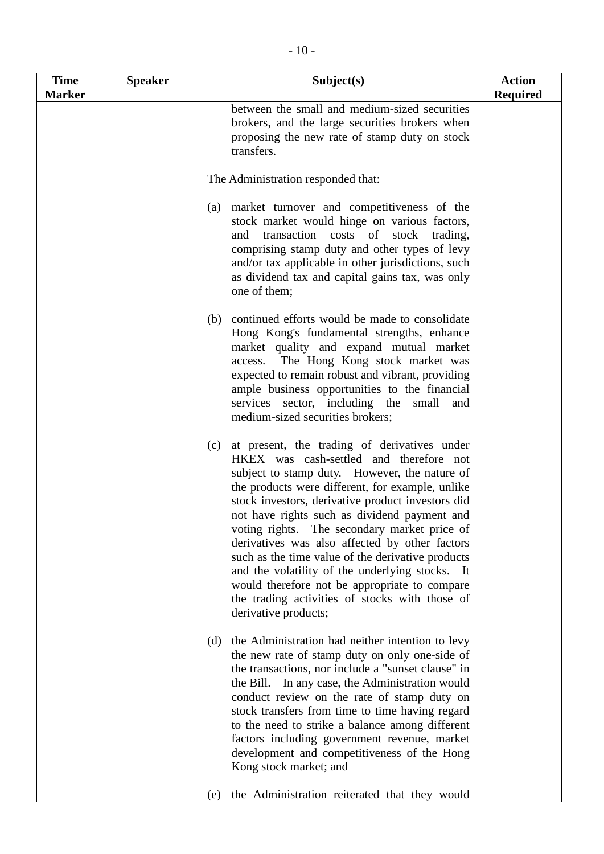| <b>Time</b><br><b>Marker</b> | <b>Speaker</b> | Subject(s)                                                                                                                                                                                                                                                                                                                                                                                                                                                                                                                                                                                                                                    | <b>Action</b><br><b>Required</b> |
|------------------------------|----------------|-----------------------------------------------------------------------------------------------------------------------------------------------------------------------------------------------------------------------------------------------------------------------------------------------------------------------------------------------------------------------------------------------------------------------------------------------------------------------------------------------------------------------------------------------------------------------------------------------------------------------------------------------|----------------------------------|
|                              |                | between the small and medium-sized securities<br>brokers, and the large securities brokers when<br>proposing the new rate of stamp duty on stock<br>transfers.                                                                                                                                                                                                                                                                                                                                                                                                                                                                                |                                  |
|                              |                | The Administration responded that:                                                                                                                                                                                                                                                                                                                                                                                                                                                                                                                                                                                                            |                                  |
|                              |                | (a) market turnover and competitiveness of the<br>stock market would hinge on various factors,<br>and transaction costs of stock<br>trading,<br>comprising stamp duty and other types of levy<br>and/or tax applicable in other jurisdictions, such<br>as dividend tax and capital gains tax, was only<br>one of them;                                                                                                                                                                                                                                                                                                                        |                                  |
|                              |                | continued efforts would be made to consolidate<br>(b)<br>Hong Kong's fundamental strengths, enhance<br>market quality and expand mutual market<br>The Hong Kong stock market was<br>access.<br>expected to remain robust and vibrant, providing<br>ample business opportunities to the financial<br>services sector, including the<br>small<br>and<br>medium-sized securities brokers;                                                                                                                                                                                                                                                        |                                  |
|                              |                | at present, the trading of derivatives under<br>(c)<br>HKEX was cash-settled and therefore not<br>subject to stamp duty. However, the nature of<br>the products were different, for example, unlike<br>stock investors, derivative product investors did<br>not have rights such as dividend payment and<br>voting rights. The secondary market price of<br>derivatives was also affected by other factors<br>such as the time value of the derivative products<br>and the volatility of the underlying stocks. It<br>would therefore not be appropriate to compare<br>the trading activities of stocks with those of<br>derivative products; |                                  |
|                              |                | the Administration had neither intention to levy<br>(d)<br>the new rate of stamp duty on only one-side of<br>the transactions, nor include a "sunset clause" in<br>In any case, the Administration would<br>the Bill.<br>conduct review on the rate of stamp duty on<br>stock transfers from time to time having regard<br>to the need to strike a balance among different<br>factors including government revenue, market<br>development and competitiveness of the Hong<br>Kong stock market; and                                                                                                                                           |                                  |
|                              |                | the Administration reiterated that they would<br>(e)                                                                                                                                                                                                                                                                                                                                                                                                                                                                                                                                                                                          |                                  |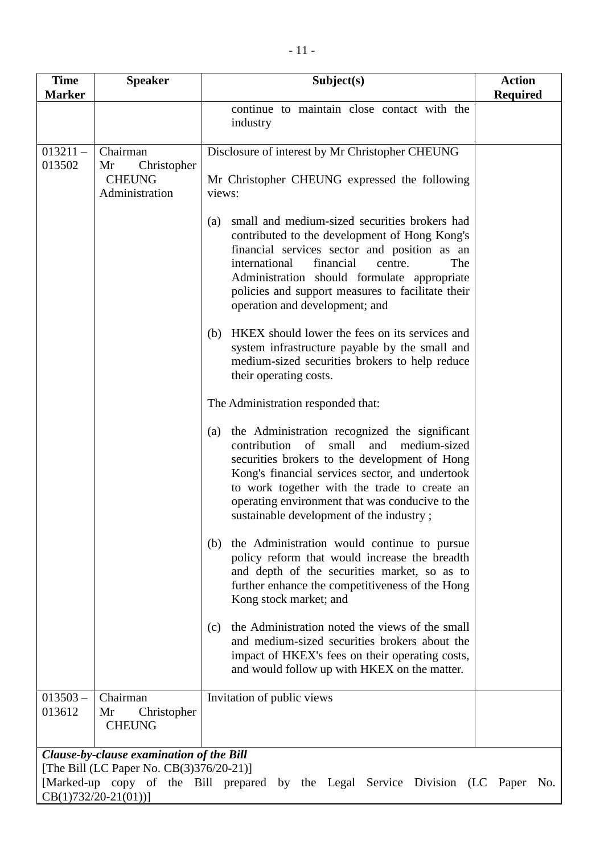| <b>Time</b><br><b>Marker</b>                                                                                                                                                                      | <b>Speaker</b>                                                   | Subject(s)                                                                                                                                                                                                                                                                                                                                                    | <b>Action</b><br><b>Required</b> |  |  |
|---------------------------------------------------------------------------------------------------------------------------------------------------------------------------------------------------|------------------------------------------------------------------|---------------------------------------------------------------------------------------------------------------------------------------------------------------------------------------------------------------------------------------------------------------------------------------------------------------------------------------------------------------|----------------------------------|--|--|
|                                                                                                                                                                                                   |                                                                  | continue to maintain close contact with the<br>industry                                                                                                                                                                                                                                                                                                       |                                  |  |  |
| $013211 -$<br>013502                                                                                                                                                                              | Chairman<br>Christopher<br>Mr<br><b>CHEUNG</b><br>Administration | Disclosure of interest by Mr Christopher CHEUNG<br>Mr Christopher CHEUNG expressed the following<br>views:                                                                                                                                                                                                                                                    |                                  |  |  |
|                                                                                                                                                                                                   |                                                                  | small and medium-sized securities brokers had<br>(a)<br>contributed to the development of Hong Kong's<br>financial services sector and position as an<br>financial<br>international<br>centre.<br>The<br>Administration should formulate appropriate<br>policies and support measures to facilitate their<br>operation and development; and                   |                                  |  |  |
|                                                                                                                                                                                                   |                                                                  | HKEX should lower the fees on its services and<br>(b)<br>system infrastructure payable by the small and<br>medium-sized securities brokers to help reduce<br>their operating costs.                                                                                                                                                                           |                                  |  |  |
|                                                                                                                                                                                                   |                                                                  | The Administration responded that:                                                                                                                                                                                                                                                                                                                            |                                  |  |  |
|                                                                                                                                                                                                   |                                                                  | the Administration recognized the significant<br>(a)<br>contribution<br>of<br>small<br>and<br>medium-sized<br>securities brokers to the development of Hong<br>Kong's financial services sector, and undertook<br>to work together with the trade to create an<br>operating environment that was conducive to the<br>sustainable development of the industry; |                                  |  |  |
|                                                                                                                                                                                                   |                                                                  | the Administration would continue to pursue<br>(b)<br>policy reform that would increase the breadth<br>and depth of the securities market, so as to<br>further enhance the competitiveness of the Hong<br>Kong stock market; and                                                                                                                              |                                  |  |  |
|                                                                                                                                                                                                   |                                                                  | the Administration noted the views of the small<br>(c)<br>and medium-sized securities brokers about the<br>impact of HKEX's fees on their operating costs,<br>and would follow up with HKEX on the matter.                                                                                                                                                    |                                  |  |  |
| $013503 -$<br>013612                                                                                                                                                                              | Chairman<br>Christopher<br>Mr<br><b>CHEUNG</b>                   | Invitation of public views                                                                                                                                                                                                                                                                                                                                    |                                  |  |  |
| Clause-by-clause examination of the Bill<br>[The Bill (LC Paper No. CB(3)376/20-21)]<br>[Marked-up copy of the Bill prepared by the Legal Service Division (LC Paper No.<br>$CB(1)732/20-21(01))$ |                                                                  |                                                                                                                                                                                                                                                                                                                                                               |                                  |  |  |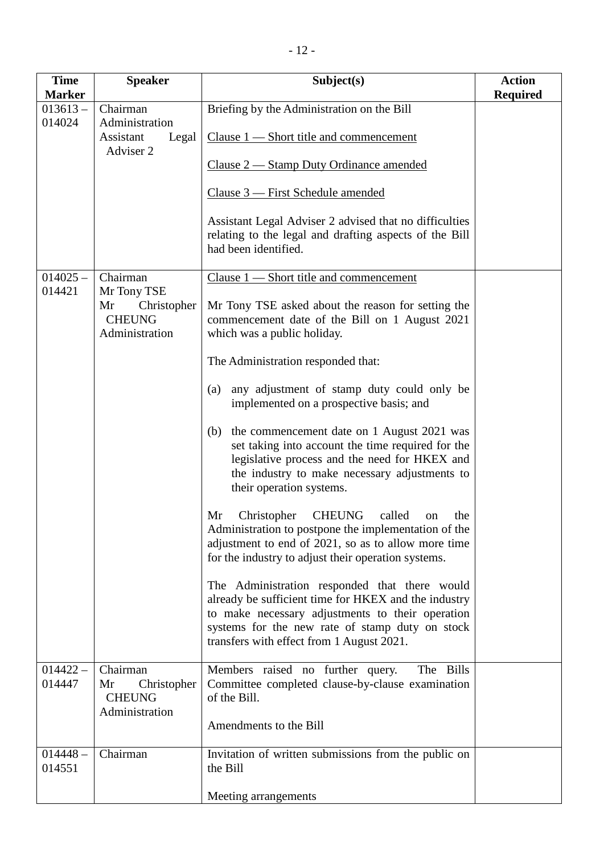| <b>Time</b>                                  | <b>Speaker</b>                                                                                                                                   | Subject(s)                                                                                                                                                                                                                                                                                                                                                                                                                                                                                                                                                                                                                                                                                                                                                                                                                                                                                                                                                                                                                                                                                                                                                                                                                        | <b>Action</b>   |
|----------------------------------------------|--------------------------------------------------------------------------------------------------------------------------------------------------|-----------------------------------------------------------------------------------------------------------------------------------------------------------------------------------------------------------------------------------------------------------------------------------------------------------------------------------------------------------------------------------------------------------------------------------------------------------------------------------------------------------------------------------------------------------------------------------------------------------------------------------------------------------------------------------------------------------------------------------------------------------------------------------------------------------------------------------------------------------------------------------------------------------------------------------------------------------------------------------------------------------------------------------------------------------------------------------------------------------------------------------------------------------------------------------------------------------------------------------|-----------------|
| <b>Marker</b>                                |                                                                                                                                                  |                                                                                                                                                                                                                                                                                                                                                                                                                                                                                                                                                                                                                                                                                                                                                                                                                                                                                                                                                                                                                                                                                                                                                                                                                                   | <b>Required</b> |
| $013613 -$<br>014024<br>$014025 -$<br>014421 | Chairman<br>Administration<br>Assistant<br>Legal<br>Adviser 2<br>Chairman<br>Mr Tony TSE<br>Mr<br>Christopher<br><b>CHEUNG</b><br>Administration | Briefing by the Administration on the Bill<br>Clause $1$ — Short title and commencement<br>Clause 2 — Stamp Duty Ordinance amended<br>Clause 3 — First Schedule amended<br>Assistant Legal Adviser 2 advised that no difficulties<br>relating to the legal and drafting aspects of the Bill<br>had been identified.<br>Clause $1$ - Short title and commencement<br>Mr Tony TSE asked about the reason for setting the<br>commencement date of the Bill on 1 August 2021<br>which was a public holiday.<br>The Administration responded that:<br>any adjustment of stamp duty could only be<br>(a)<br>implemented on a prospective basis; and<br>the commencement date on 1 August 2021 was<br>(b)<br>set taking into account the time required for the<br>legislative process and the need for HKEX and<br>the industry to make necessary adjustments to<br>their operation systems.<br>Christopher<br>called<br>Mr<br><b>CHEUNG</b><br>the<br>on<br>Administration to postpone the implementation of the<br>adjustment to end of 2021, so as to allow more time<br>for the industry to adjust their operation systems.<br>The Administration responded that there would<br>already be sufficient time for HKEX and the industry |                 |
|                                              |                                                                                                                                                  | to make necessary adjustments to their operation<br>systems for the new rate of stamp duty on stock<br>transfers with effect from 1 August 2021.                                                                                                                                                                                                                                                                                                                                                                                                                                                                                                                                                                                                                                                                                                                                                                                                                                                                                                                                                                                                                                                                                  |                 |
| $014422 -$<br>014447                         | Chairman<br>Mr<br>Christopher<br><b>CHEUNG</b><br>Administration                                                                                 | Members raised no further query.<br>The Bills<br>Committee completed clause-by-clause examination<br>of the Bill.<br>Amendments to the Bill                                                                                                                                                                                                                                                                                                                                                                                                                                                                                                                                                                                                                                                                                                                                                                                                                                                                                                                                                                                                                                                                                       |                 |
| $014448 -$<br>014551                         | Chairman                                                                                                                                         | Invitation of written submissions from the public on<br>the Bill<br>Meeting arrangements                                                                                                                                                                                                                                                                                                                                                                                                                                                                                                                                                                                                                                                                                                                                                                                                                                                                                                                                                                                                                                                                                                                                          |                 |